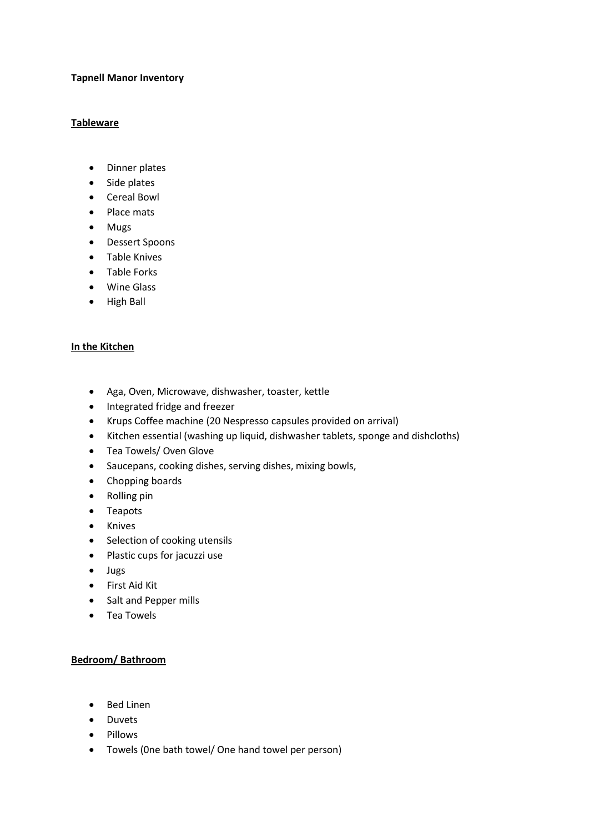## **Tapnell Manor Inventory**

#### **Tableware**

- Dinner plates
- Side plates
- Cereal Bowl
- Place mats
- Mugs
- Dessert Spoons
- Table Knives
- Table Forks
- Wine Glass
- High Ball

## **In the Kitchen**

- Aga, Oven, Microwave, dishwasher, toaster, kettle
- Integrated fridge and freezer
- Krups Coffee machine (20 Nespresso capsules provided on arrival)
- Kitchen essential (washing up liquid, dishwasher tablets, sponge and dishcloths)
- Tea Towels/ Oven Glove
- Saucepans, cooking dishes, serving dishes, mixing bowls,
- Chopping boards
- Rolling pin
- Teapots
- Knives
- Selection of cooking utensils
- Plastic cups for jacuzzi use
- Jugs
- First Aid Kit
- Salt and Pepper mills
- Tea Towels

## **Bedroom/ Bathroom**

- Bed Linen
- Duvets
- Pillows
- Towels (0ne bath towel/ One hand towel per person)